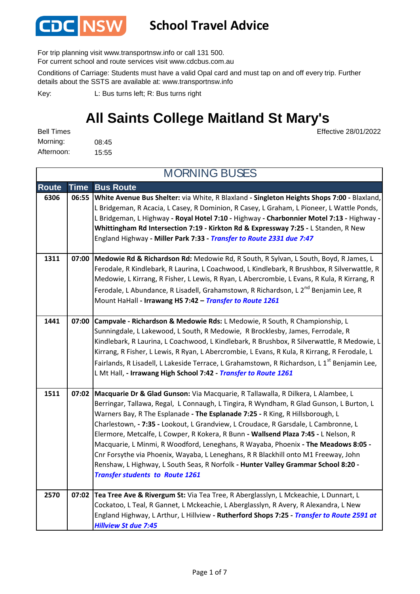

#### **School Travel Advice**

For trip planning visit www.transportnsw.info or call 131 500.

For current school and route services visit www.cdcbus.com.au

Conditions of Carriage: Students must have a valid Opal card and must tap on and off every trip. Further details about the SSTS are available at: www.transportnsw.info

L: Bus turns left; R: Bus turns right Key:

#### **All Saints College Maitland St Mary's**

Effective 28/01/2022

| <b>Bell Times</b> |       |
|-------------------|-------|
| Morning:          | 08:45 |
| Afternoon:        | 15:55 |

|              |             | <b>MORNING BUSES</b>                                                                                                                                                                                                                                                                                                                                                                                                                                                                                                                                                                                                                                                                                                                                     |
|--------------|-------------|----------------------------------------------------------------------------------------------------------------------------------------------------------------------------------------------------------------------------------------------------------------------------------------------------------------------------------------------------------------------------------------------------------------------------------------------------------------------------------------------------------------------------------------------------------------------------------------------------------------------------------------------------------------------------------------------------------------------------------------------------------|
| <b>Route</b> | <b>Time</b> | <b>Bus Route</b>                                                                                                                                                                                                                                                                                                                                                                                                                                                                                                                                                                                                                                                                                                                                         |
| 6306         | 06:55       | White Avenue Bus Shelter: via White, R Blaxland - Singleton Heights Shops 7:00 - Blaxland,<br>L Bridgeman, R Acacia, L Casey, R Dominion, R Casey, L Graham, L Pioneer, L Wattle Ponds,<br>L Bridgeman, L Highway - Royal Hotel 7:10 - Highway - Charbonnier Motel 7:13 - Highway -<br>Whittingham Rd Intersection 7:19 - Kirkton Rd & Expressway 7:25 - L Standen, R New<br>England Highway - Miller Park 7:33 - Transfer to Route 2331 due 7:47                                                                                                                                                                                                                                                                                                        |
| 1311         |             | 07:00 Medowie Rd & Richardson Rd: Medowie Rd, R South, R Sylvan, L South, Boyd, R James, L<br>Ferodale, R Kindlebark, R Laurina, L Coachwood, L Kindlebark, R Brushbox, R Silverwattle, R<br>Medowie, L Kirrang, R Fisher, L Lewis, R Ryan, L Abercrombie, L Evans, R Kula, R Kirrang, R<br>Ferodale, L Abundance, R Lisadell, Grahamstown, R Richardson, L 2 <sup>nd</sup> Benjamin Lee, R<br>Mount HaHall - Irrawang HS 7:42 - Transfer to Route 1261                                                                                                                                                                                                                                                                                                  |
| 1441         | 07:00       | Campvale - Richardson & Medowie Rds: L Medowie, R South, R Championship, L<br>Sunningdale, L Lakewood, L South, R Medowie, R Brocklesby, James, Ferrodale, R<br>Kindlebark, R Laurina, L Coachwood, L Kindlebark, R Brushbox, R Silverwattle, R Medowie, L<br>Kirrang, R Fisher, L Lewis, R Ryan, L Abercrombie, L Evans, R Kula, R Kirrang, R Ferodale, L<br>Fairlands, R Lisadell, L Lakeside Terrace, L Grahamstown, R Richardson, L 1 <sup>st</sup> Benjamin Lee,<br>L Mt Hall, - Irrawang High School 7:42 - Transfer to Route 1261                                                                                                                                                                                                                 |
| 1511         |             | 07:02 Macquarie Dr & Glad Gunson: Via Macquarie, R Tallawalla, R Dilkera, L Alambee, L<br>Berringar, Tallawa, Regal, L Connaugh, L Tingira, R Wyndham, R Glad Gunson, L Burton, L<br>Warners Bay, R The Esplanade - The Esplanade 7:25 - R King, R Hillsborough, L<br>Charlestown, - 7:35 - Lookout, L Grandview, L Croudace, R Garsdale, L Cambronne, L<br>Elermore, Metcalfe, L Cowper, R Kokera, R Bunn - Wallsend Plaza 7:45 - L Nelson, R<br>Macquarie, L Minmi, R Woodford, Leneghans, R Wayaba, Phoenix - The Meadows 8:05 -<br>Cnr Forsythe via Phoenix, Wayaba, L Leneghans, R R Blackhill onto M1 Freeway, John<br>Renshaw, L Highway, L South Seas, R Norfolk - Hunter Valley Grammar School 8:20 -<br><b>Transfer students to Route 1261</b> |
| 2570         |             | 07:02 Tea Tree Ave & Rivergum St: Via Tea Tree, R Aberglasslyn, L Mckeachie, L Dunnart, L<br>Cockatoo, L Teal, R Gannet, L Mckeachie, L Aberglasslyn, R Avery, R Alexandra, L New<br>England Highway, L Arthur, L Hillview - Rutherford Shops 7:25 - Transfer to Route 2591 at<br><b>Hillview St due 7:45</b>                                                                                                                                                                                                                                                                                                                                                                                                                                            |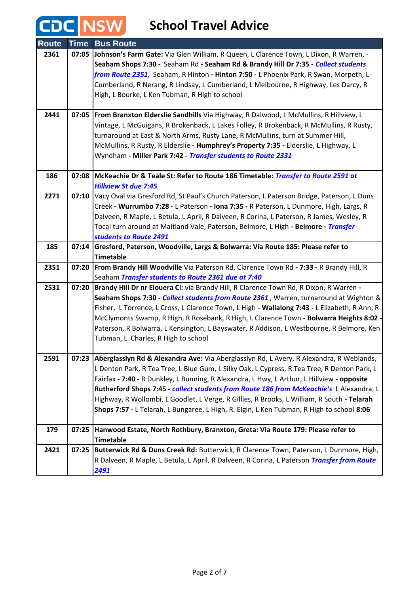| <b>Route</b> | <b>Time</b> | <b>Bus Route</b>                                                                                                                             |
|--------------|-------------|----------------------------------------------------------------------------------------------------------------------------------------------|
| 2361         |             | 07:05 Johnson's Farm Gate: Via Glen William, R Queen, L Clarence Town, L Dixon, R Warren, -                                                  |
|              |             | Seaham Shops 7:30 - Seaham Rd - Seaham Rd & Brandy Hill Dr 7:35 - Collect students                                                           |
|              |             | from Route 2351, Seaham, R Hinton - Hinton 7:50 - L Phoenix Park, R Swan, Morpeth, L                                                         |
|              |             | Cumberland, R Nerang, R Lindsay, L Cumberland, L Melbourne, R Highway, Les Darcy, R                                                          |
|              |             | High, L Bourke, L Ken Tubman, R High to school                                                                                               |
|              |             |                                                                                                                                              |
| 2441         |             | 07:05   From Branxton Elderslie Sandhills Via Highway, R Dalwood, L McMullins, R Hillview, L                                                 |
|              |             | Vintage, L McGuigans, R Brokenback, L Lakes Folley, R Brokenback, R McMullins, R Rusty,                                                      |
|              |             | turnaround at East & North Arms, Rusty Lane, R McMullins, turn at Summer Hill,                                                               |
|              |             | McMullins, R Rusty, R Elderslie - Humphrey's Property 7:35 - Elderslie, L Highway, L                                                         |
|              |             | Wyndham - Miller Park 7:42 - Transfer students to Route 2331                                                                                 |
|              |             |                                                                                                                                              |
| 186          | 07:08       | McKeachie Dr & Teale St: Refer to Route 186 Timetable: Transfer to Route 2591 at                                                             |
|              |             | <b>Hillview St due 7:45</b>                                                                                                                  |
| 2271         | 07:10       | Vacy Oval via Gresford Rd, St Paul's Church Paterson, L Paterson Bridge, Paterson, L Duns                                                    |
|              |             | Creek - Wurrumbo 7:28 - L Paterson - Iona 7:35 - R Paterson, L Dunmore, High, Largs, R                                                       |
|              |             | Dalveen, R Maple, L Betula, L April, R Dalveen, R Corina, L Paterson, R James, Wesley, R                                                     |
|              |             | Tocal turn around at Maitland Vale, Paterson, Belmore, L High - Belmore - Transfer                                                           |
|              |             | students to Route 2491                                                                                                                       |
| 185          |             | 07:14 Gresford, Paterson, Woodville, Largs & Bolwarra: Via Route 185: Please refer to                                                        |
|              |             | <b>Timetable</b>                                                                                                                             |
| 2351         | 07:20       | From Brandy Hill Woodville Via Paterson Rd, Clarence Town Rd - 7:33 - R Brandy Hill, R                                                       |
| 2531         | 07:20       | Seaham Transfer students to Route 2361 due at 7:40<br>Brandy Hill Dr nr Elouera CI: via Brandy Hill, R Clarence Town Rd, R Dixon, R Warren - |
|              |             | Seaham Shops 7:30 - Collect students from Route 2361, Warren, turnaround at Wighton &                                                        |
|              |             | Fisher, L Torrence, L Cross, L Clarence Town, L High - Wallalong 7:43 - L Elizabeth, R Ann, R                                                |
|              |             | McClymonts Swamp, R High, R Rosebank, R High, L Clarence Town - Bolwarra Heights 8:02 -                                                      |
|              |             | Paterson, R Bolwarra, L Kensington, L Bayswater, R Addison, L Westbourne, R Belmore, Ken                                                     |
|              |             | Tubman, L Charles, R High to school                                                                                                          |
|              |             |                                                                                                                                              |
| 2591         |             | 07:23 Aberglasslyn Rd & Alexandra Ave: Via Aberglasslyn Rd, L Avery, R Alexandra, R Weblands,                                                |
|              |             | L Denton Park, R Tea Tree, L Blue Gum, L Silky Oak, L Cypress, R Tea Tree, R Denton Park, L                                                  |
|              |             | Fairfax - 7:40 - R Dunkley, L Bunning, R Alexandra, L Hwy, L Arthur, L Hillview - opposite                                                   |
|              |             | Rutherford Shops 7:45 - collect students from Route 186 from McKeachie's L Alexandra, L                                                      |
|              |             | Highway, R Wollombi, L Goodlet, L Verge, R Gillies, R Brooks, L William, R South - Telarah                                                   |
|              |             | Shops 7:57 - L Telarah, L Bungaree, L High, R. Elgin, L Ken Tubman, R High to school 8:06                                                    |
|              |             |                                                                                                                                              |
| 179          | 07:25       | Hanwood Estate, North Rothbury, Branxton, Greta: Via Route 179: Please refer to                                                              |
|              |             | <b>Timetable</b>                                                                                                                             |
| 2421         | 07:25       | Butterwick Rd & Duns Creek Rd: Butterwick, R Clarence Town, Paterson, L Dunmore, High,                                                       |
|              |             | R Dalveen, R Maple, L Betula, L April, R Dalveen, R Corina, L Paterson Transfer from Route                                                   |
|              |             | 2491                                                                                                                                         |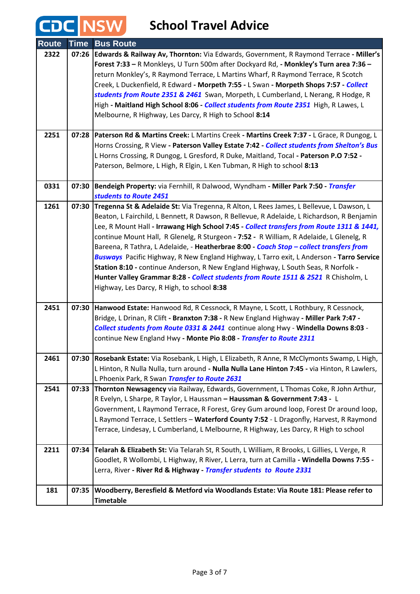| <b>Route</b> | <b>Time</b> | <b>Bus Route</b>                                                                              |
|--------------|-------------|-----------------------------------------------------------------------------------------------|
| 2322         |             | 07:26 Edwards & Railway Av, Thornton: Via Edwards, Government, R Raymond Terrace - Miller's   |
|              |             | Forest 7:33 - R Monkleys, U Turn 500m after Dockyard Rd, - Monkley's Turn area 7:36 -         |
|              |             | return Monkley's, R Raymond Terrace, L Martins Wharf, R Raymond Terrace, R Scotch             |
|              |             | Creek, L Duckenfield, R Edward - Morpeth 7:55 - L Swan - Morpeth Shops 7:57 - Collect         |
|              |             | students from Route 2351 & 2461 Swan, Morpeth, L Cumberland, L Nerang, R Hodge, R             |
|              |             | High - Maitland High School 8:06 - <i>Collect students from Route 2351</i> High, R Lawes, L   |
|              |             | Melbourne, R Highway, Les Darcy, R High to School 8:14                                        |
|              |             |                                                                                               |
| 2251         | 07:28       | Paterson Rd & Martins Creek: L Martins Creek - Martins Creek 7:37 - L Grace, R Dungog, L      |
|              |             | Horns Crossing, R View - Paterson Valley Estate 7:42 - Collect students from Shelton's Bus    |
|              |             | L Horns Crossing, R Dungog, L Gresford, R Duke, Maitland, Tocal - Paterson P.O 7:52 -         |
|              |             | Paterson, Belmore, L High, R Elgin, L Ken Tubman, R High to school 8:13                       |
|              |             |                                                                                               |
| 0331         | 07:30       | Bendeigh Property: via Fernhill, R Dalwood, Wyndham - Miller Park 7:50 - Transfer             |
|              |             | students to Route 2451                                                                        |
| 1261         | 07:30       | Tregenna St & Adelaide St: Via Tregenna, R Alton, L Rees James, L Bellevue, L Dawson, L       |
|              |             | Beaton, L Fairchild, L Bennett, R Dawson, R Bellevue, R Adelaide, L Richardson, R Benjamin    |
|              |             | Lee, R Mount Hall - Irrawang High School 7:45 - Collect transfers from Route 1311 & 1441,     |
|              |             | continue Mount Hall, R Glenelg, R Sturgeon - 7:52 - R William, R Adelaide, L Glenelg, R       |
|              |             | Bareena, R Tathra, L Adelaide, - Heatherbrae 8:00 - Coach Stop - collect transfers from       |
|              |             | Busways Pacific Highway, R New England Highway, L Tarro exit, L Anderson - Tarro Service      |
|              |             | Station 8:10 - continue Anderson, R New England Highway, L South Seas, R Norfolk -            |
|              |             | Hunter Valley Grammar 8:28 - Collect students from Route 1511 & 2521 R Chisholm, L            |
|              |             | Highway, Les Darcy, R High, to school 8:38                                                    |
| 2451         | 07:30       | Hanwood Estate: Hanwood Rd, R Cessnock, R Mayne, L Scott, L Rothbury, R Cessnock,             |
|              |             | Bridge, L Drinan, R Clift - Branxton 7:38 - R New England Highway - Miller Park 7:47 -        |
|              |             | Collect students from Route 0331 & 2441 continue along Hwy - Windella Downs 8:03 -            |
|              |             | continue New England Hwy - Monte Pio 8:08 - Transfer to Route 2311                            |
|              |             |                                                                                               |
| 2461         |             | 07:30 Rosebank Estate: Via Rosebank, L High, L Elizabeth, R Anne, R McClymonts Swamp, L High, |
|              |             | L Hinton, R Nulla Nulla, turn around - Nulla Nulla Lane Hinton 7:45 - via Hinton, R Lawlers,  |
|              |             | L Phoenix Park, R Swan Transfer to Route 2631                                                 |
| 2541         | 07:33       | Thornton Newsagency via Railway, Edwards, Government, L Thomas Coke, R John Arthur,           |
|              |             | R Evelyn, L Sharpe, R Taylor, L Haussman - Haussman & Government 7:43 - L                     |
|              |             | Government, L Raymond Terrace, R Forest, Grey Gum around loop, Forest Dr around loop,         |
|              |             | L Raymond Terrace, L Settlers - Waterford County 7:52 - L Dragonfly, Harvest, R Raymond       |
|              |             | Terrace, Lindesay, L Cumberland, L Melbourne, R Highway, Les Darcy, R High to school          |
|              |             |                                                                                               |
| 2211         | 07:34       | Telarah & Elizabeth St: Via Telarah St, R South, L William, R Brooks, L Gillies, L Verge, R   |
|              |             | Goodlet, R Wollombi, L Highway, R River, L Lerra, turn at Camilla - Windella Downs 7:55 -     |
|              |             | Lerra, River - River Rd & Highway - Transfer students to Route 2331                           |
|              |             |                                                                                               |
| 181          | 07:35       | Woodberry, Beresfield & Metford via Woodlands Estate: Via Route 181: Please refer to          |
|              |             | <b>Timetable</b>                                                                              |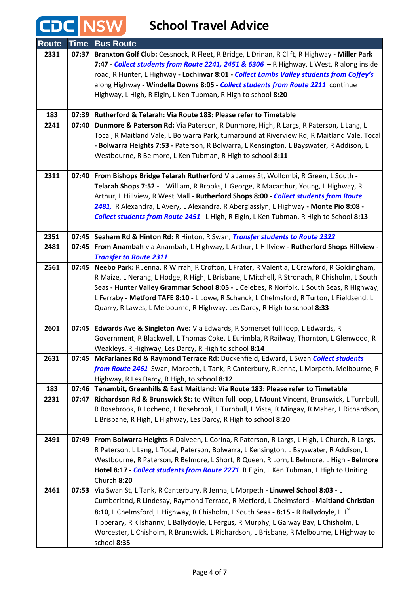#### **School Travel Advice**

CDC NSW

| <b>Route</b> | <b>Time</b> | <b>Bus Route</b>                                                                                    |
|--------------|-------------|-----------------------------------------------------------------------------------------------------|
| 2331         |             | 07:37   Branxton Golf Club: Cessnock, R Fleet, R Bridge, L Drinan, R Clift, R Highway - Miller Park |
|              |             | 7:47 - Collect students from Route 2241, 2451 & 6306 - R Highway, L West, R along inside            |
|              |             | road, R Hunter, L Highway - Lochinvar 8:01 - Collect Lambs Valley students from Coffey's            |
|              |             | along Highway - Windella Downs 8:05 - Collect students from Route 2211 continue                     |
|              |             | Highway, L High, R Elgin, L Ken Tubman, R High to school 8:20                                       |
|              |             |                                                                                                     |
| 183          |             | 07:39 Rutherford & Telarah: Via Route 183: Please refer to Timetable                                |
| 2241         | 07:40       | Dunmore & Paterson Rd: Via Paterson, R Dunmore, High, R Largs, R Paterson, L Lang, L                |
|              |             | Tocal, R Maitland Vale, L Bolwarra Park, turnaround at Riverview Rd, R Maitland Vale, Tocal         |
|              |             | Bolwarra Heights 7:53 - Paterson, R Bolwarra, L Kensington, L Bayswater, R Addison, L               |
|              |             | Westbourne, R Belmore, L Ken Tubman, R High to school 8:11                                          |
| 2311         |             | 07:40   From Bishops Bridge Telarah Rutherford Via James St, Wollombi, R Green, L South -           |
|              |             | Telarah Shops 7:52 - L William, R Brooks, L George, R Macarthur, Young, L Highway, R                |
|              |             | Arthur, L Hillview, R West Mall - Rutherford Shops 8:00 - Collect students from Route               |
|              |             | 2481, R Alexandra, L Avery, L Alexandra, R Aberglasslyn, L Highway - Monte Pio 8:08 -               |
|              |             | Collect students from Route 2451 L High, R Elgin, L Ken Tubman, R High to School 8:13               |
|              |             |                                                                                                     |
| 2351         |             | 07:45 Seaham Rd & Hinton Rd: R Hinton, R Swan, Transfer students to Route 2322                      |
| 2481         |             | 07:45   From Anambah via Anambah, L Highway, L Arthur, L Hillview - Rutherford Shops Hillview -     |
|              |             | <b>Transfer to Route 2311</b>                                                                       |
| 2561         |             | 07:45   Neebo Park: R Jenna, R Wirrah, R Crofton, L Frater, R Valentia, L Crawford, R Goldingham,   |
|              |             | R Maize, L Nerang, L Hodge, R High, L Brisbane, L Mitchell, R Stronach, R Chisholm, L South         |
|              |             | Seas - Hunter Valley Grammar School 8:05 - L Celebes, R Norfolk, L South Seas, R Highway,           |
|              |             | L Ferraby - Metford TAFE 8:10 - L Lowe, R Schanck, L Chelmsford, R Turton, L Fieldsend, L           |
|              |             | Quarry, R Lawes, L Melbourne, R Highway, Les Darcy, R High to school 8:33                           |
| 2601         |             | 07:45 Edwards Ave & Singleton Ave: Via Edwards, R Somerset full loop, L Edwards, R                  |
|              |             | Government, R Blackwell, L Thomas Coke, L Eurimbla, R Railway, Thornton, L Glenwood, R              |
|              |             | Weakleys, R Highway, Les Darcy, R High to school 8:14                                               |
| 2631         |             | 07:45 McFarlanes Rd & Raymond Terrace Rd: Duckenfield, Edward, L Swan Collect students              |
|              |             | from Route 2461 Swan, Morpeth, L Tank, R Canterbury, R Jenna, L Morpeth, Melbourne, R               |
|              |             | Highway, R Les Darcy, R High, to school 8:12                                                        |
| 183          |             | 07:46 Tenambit, Greenhills & East Maitland: Via Route 183: Please refer to Timetable                |
| 2231         |             | 07:47   Richardson Rd & Brunswick St: to Wilton full loop, L Mount Vincent, Brunswick, L Turnbull,  |
|              |             | R Rosebrook, R Lochend, L Rosebrook, L Turnbull, L Vista, R Mingay, R Maher, L Richardson,          |
|              |             | L Brisbane, R High, L Highway, Les Darcy, R High to school 8:20                                     |
| 2491         |             | 07:49   From Bolwarra Heights R Dalveen, L Corina, R Paterson, R Largs, L High, L Church, R Largs,  |
|              |             | R Paterson, L Lang, L Tocal, Paterson, Bolwarra, L Kensington, L Bayswater, R Addison, L            |
|              |             | Westbourne, R Paterson, R Belmore, L Short, R Queen, R Lorn, L Belmore, L High - Belmore            |
|              |             | Hotel 8:17 - Collect students from Route 2271 R Elgin, L Ken Tubman, L High to Uniting              |
|              |             | Church 8:20                                                                                         |
| 2461         | 07:53       | Via Swan St, L Tank, R Canterbury, R Jenna, L Morpeth - Linuwel School 8:03 - L                     |
|              |             | Cumberland, R Lindesay, Raymond Terrace, R Metford, L Chelmsford - Maitland Christian               |
|              |             | 8:10, L Chelmsford, L Highway, R Chisholm, L South Seas - 8:15 - R Ballydoyle, L 1 <sup>st</sup>    |
|              |             | Tipperary, R Kilshanny, L Ballydoyle, L Fergus, R Murphy, L Galway Bay, L Chisholm, L               |
|              |             | Worcester, L Chisholm, R Brunswick, L Richardson, L Brisbane, R Melbourne, L Highway to             |
|              |             | school 8:35                                                                                         |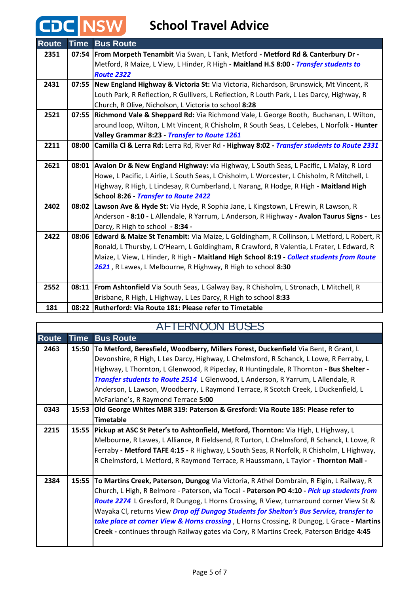| <b>Route</b> | <b>Time</b> | <b>Bus Route</b>                                                                               |
|--------------|-------------|------------------------------------------------------------------------------------------------|
| 2351         |             | 07:54   From Morpeth Tenambit Via Swan, L Tank, Metford - Metford Rd & Canterbury Dr -         |
|              |             | Metford, R Maize, L View, L Hinder, R High - Maitland H.S 8:00 - Transfer students to          |
|              |             | <b>Route 2322</b>                                                                              |
| 2431         |             | 07:55 New England Highway & Victoria St: Via Victoria, Richardson, Brunswick, Mt Vincent, R    |
|              |             | Louth Park, R Reflection, R Gullivers, L Reflection, R Louth Park, L Les Darcy, Highway, R     |
|              |             | Church, R Olive, Nicholson, L Victoria to school 8:28                                          |
| 2521         |             | 07:55 Richmond Vale & Sheppard Rd: Via Richmond Vale, L George Booth, Buchanan, L Wilton,      |
|              |             | around loop, Wilton, L Mt Vincent, R Chisholm, R South Seas, L Celebes, L Norfolk - Hunter     |
|              |             | Valley Grammar 8:23 - Transfer to Route 1261                                                   |
| 2211         | 08:00       | Camilla CI & Lerra Rd: Lerra Rd, River Rd - Highway 8:02 - Transfer students to Route 2331     |
|              |             |                                                                                                |
| 2621         |             | 08:01 Avalon Dr & New England Highway: via Highway, L South Seas, L Pacific, L Malay, R Lord   |
|              |             | Howe, L Pacific, L Airlie, L South Seas, L Chisholm, L Worcester, L Chisholm, R Mitchell, L    |
|              |             | Highway, R High, L Lindesay, R Cumberland, L Narang, R Hodge, R High - Maitland High           |
|              |             | School 8:26 - Transfer to Route 2422                                                           |
| 2402         |             | 08:02 Lawson Ave & Hyde St: Via Hyde, R Sophia Jane, L Kingstown, L Frewin, R Lawson, R        |
|              |             | Anderson - 8:10 - L Allendale, R Yarrum, L Anderson, R Highway - Avalon Taurus Signs - Les     |
|              |             | Darcy, R High to school - 8:34 -                                                               |
| 2422         |             | 08:06 Edward & Maize St Tenambit: Via Maize, L Goldingham, R Collinson, L Metford, L Robert, R |
|              |             | Ronald, L Thursby, L O'Hearn, L Goldingham, R Crawford, R Valentia, L Frater, L Edward, R      |
|              |             | Maize, L View, L Hinder, R High - Maitland High School 8:19 - Collect students from Route      |
|              |             | 2621, R Lawes, L Melbourne, R Highway, R High to school 8:30                                   |
|              |             |                                                                                                |
| 2552         | 08:11       | From Ashtonfield Via South Seas, L Galway Bay, R Chisholm, L Stronach, L Mitchell, R           |
|              |             | Brisbane, R High, L Highway, L Les Darcy, R High to school 8:33                                |
| 181          |             | 08:22 Rutherford: Via Route 181: Please refer to Timetable                                     |

| <b>AFTERNOON BUSES</b> |             |                                                                                            |
|------------------------|-------------|--------------------------------------------------------------------------------------------|
| <b>Route</b>           | <b>Time</b> | <b>Bus Route</b>                                                                           |
| 2463                   | 15:50       | To Metford, Beresfield, Woodberry, Millers Forest, Duckenfield Via Bent, R Grant, L        |
|                        |             | Devonshire, R High, L Les Darcy, Highway, L Chelmsford, R Schanck, L Lowe, R Ferraby, L    |
|                        |             | Highway, L Thornton, L Glenwood, R Pipeclay, R Huntingdale, R Thornton - Bus Shelter -     |
|                        |             | Transfer students to Route 2514 L Glenwood, L Anderson, R Yarrum, L Allendale, R           |
|                        |             | Anderson, L Lawson, Woodberry, L Raymond Terrace, R Scotch Creek, L Duckenfield, L         |
|                        |             | McFarlane's, R Raymond Terrace 5:00                                                        |
| 0343                   | 15:53       | Old George Whites MBR 319: Paterson & Gresford: Via Route 185: Please refer to             |
|                        |             | <b>Timetable</b>                                                                           |
| 2215                   | 15:55       | Pickup at ASC St Peter's to Ashtonfield, Metford, Thornton: Via High, L Highway, L         |
|                        |             | Melbourne, R Lawes, L Alliance, R Fieldsend, R Turton, L Chelmsford, R Schanck, L Lowe, R  |
|                        |             | Ferraby - Metford TAFE 4:15 - R Highway, L South Seas, R Norfolk, R Chisholm, L Highway,   |
|                        |             | R Chelmsford, L Metford, R Raymond Terrace, R Haussmann, L Taylor - Thornton Mall -        |
|                        |             |                                                                                            |
| 2384                   | 15:55       | To Martins Creek, Paterson, Dungog Via Victoria, R Athel Dombrain, R Elgin, L Railway, R   |
|                        |             | Church, L High, R Belmore - Paterson, via Tocal - Paterson PO 4:10 - Pick up students from |
|                        |             | Route 2274 L Gresford, R Dungog, L Horns Crossing, R View, turnaround corner View St &     |
|                        |             | Wayaka CI, returns View Drop off Dungog Students for Shelton's Bus Service, transfer to    |
|                        |             | take place at corner View & Horns crossing, L Horns Crossing, R Dungog, L Grace - Martins  |
|                        |             | Creek - continues through Railway gates via Cory, R Martins Creek, Paterson Bridge 4:45    |
|                        |             |                                                                                            |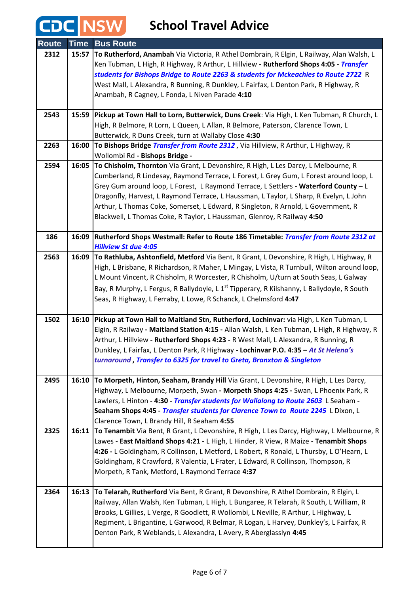| <b>Route</b> | <b>Time</b> | <b>Bus Route</b>                                                                                       |
|--------------|-------------|--------------------------------------------------------------------------------------------------------|
| 2312         | 15:57       | To Rutherford, Anambah Via Victoria, R Athel Dombrain, R Elgin, L Railway, Alan Walsh, L               |
|              |             | Ken Tubman, L High, R Highway, R Arthur, L Hillview - Rutherford Shops 4:05 - Transfer                 |
|              |             | students for Bishops Bridge to Route 2263 & students for Mckeachies to Route 2722 R                    |
|              |             | West Mall, L Alexandra, R Bunning, R Dunkley, L Fairfax, L Denton Park, R Highway, R                   |
|              |             | Anambah, R Cagney, L Fonda, L Niven Parade 4:10                                                        |
|              |             |                                                                                                        |
| 2543         | 15:59       | Pickup at Town Hall to Lorn, Butterwick, Duns Creek: Via High, L Ken Tubman, R Church, L               |
|              |             | High, R Belmore, R Lorn, L Queen, L Allan, R Belmore, Paterson, Clarence Town, L                       |
|              |             | Butterwick, R Duns Creek, turn at Wallaby Close 4:30                                                   |
| 2263         | 16:00       | To Bishops Bridge Transfer from Route 2312, Via Hillview, R Arthur, L Highway, R                       |
|              |             | Wollombi Rd - Bishops Bridge -                                                                         |
| 2594         | 16:05       | To Chisholm, Thornton Via Grant, L Devonshire, R High, L Les Darcy, L Melbourne, R                     |
|              |             | Cumberland, R Lindesay, Raymond Terrace, L Forest, L Grey Gum, L Forest around loop, L                 |
|              |             | Grey Gum around loop, L Forest, L Raymond Terrace, L Settlers - Waterford County - L                   |
|              |             | Dragonfly, Harvest, L Raymond Terrace, L Haussman, L Taylor, L Sharp, R Evelyn, L John                 |
|              |             | Arthur, L Thomas Coke, Somerset, L Edward, R Singleton, R Arnold, L Government, R                      |
|              |             | Blackwell, L Thomas Coke, R Taylor, L Haussman, Glenroy, R Railway 4:50                                |
| 186          | 16:09       | Rutherford Shops Westmall: Refer to Route 186 Timetable: Transfer from Route 2312 at                   |
|              |             | <b>Hillview St due 4:05</b>                                                                            |
| 2563         | 16:09       | To Rathluba, Ashtonfield, Metford Via Bent, R Grant, L Devonshire, R High, L Highway, R                |
|              |             | High, L Brisbane, R Richardson, R Maher, L Mingay, L Vista, R Turnbull, Wilton around loop,            |
|              |             | L Mount Vincent, R Chisholm, R Worcester, R Chisholm, U/turn at South Seas, L Galway                   |
|              |             | Bay, R Murphy, L Fergus, R Ballydoyle, L 1 <sup>st</sup> Tipperary, R Kilshanny, L Ballydoyle, R South |
|              |             | Seas, R Highway, L Ferraby, L Lowe, R Schanck, L Chelmsford 4:47                                       |
|              |             |                                                                                                        |
| 1502         | 16:10       | Pickup at Town Hall to Maitland Stn, Rutherford, Lochinvar: via High, L Ken Tubman, L                  |
|              |             | Elgin, R Railway - Maitland Station 4:15 - Allan Walsh, L Ken Tubman, L High, R Highway, R             |
|              |             | Arthur, L Hillview - Rutherford Shops 4:23 - R West Mall, L Alexandra, R Bunning, R                    |
|              |             | Dunkley, L Fairfax, L Denton Park, R Highway - Lochinvar P.O. 4:35 - At St Helena's                    |
|              |             | turnaround, Transfer to 6325 for travel to Greta, Branxton & Singleton                                 |
| 2495         | 16:10       | To Morpeth, Hinton, Seaham, Brandy Hill Via Grant, L Devonshire, R High, L Les Darcy,                  |
|              |             | Highway, L Melbourne, Morpeth, Swan - Morpeth Shops 4:25 - Swan, L Phoenix Park, R                     |
|              |             | Lawlers, L Hinton - 4:30 - Transfer students for Wallalong to Route 2603 L Seaham -                    |
|              |             | Seaham Shops 4:45 - Transfer students for Clarence Town to Route 2245 L Dixon, L                       |
|              |             | Clarence Town, L Brandy Hill, R Seaham 4:55                                                            |
| 2325         |             | 16:11 To Tenambit Via Bent, R Grant, L Devonshire, R High, L Les Darcy, Highway, L Melbourne, R        |
|              |             | Lawes - East Maitland Shops 4:21 - L High, L Hinder, R View, R Maize - Tenambit Shops                  |
|              |             | 4:26 - L Goldingham, R Collinson, L Metford, L Robert, R Ronald, L Thursby, L O'Hearn, L               |
|              |             | Goldingham, R Crawford, R Valentia, L Frater, L Edward, R Collinson, Thompson, R                       |
|              |             | Morpeth, R Tank, Metford, L Raymond Terrace 4:37                                                       |
|              |             |                                                                                                        |
| 2364         | 16:13       | To Telarah, Rutherford Via Bent, R Grant, R Devonshire, R Athel Dombrain, R Elgin, L                   |
|              |             | Railway, Allan Walsh, Ken Tubman, L High, L Bungaree, R Telarah, R South, L William, R                 |
|              |             | Brooks, L Gillies, L Verge, R Goodlett, R Wollombi, L Neville, R Arthur, L Highway, L                  |
|              |             | Regiment, L Brigantine, L Garwood, R Belmar, R Logan, L Harvey, Dunkley's, L Fairfax, R                |
|              |             | Denton Park, R Weblands, L Alexandra, L Avery, R Aberglasslyn 4:45                                     |
|              |             |                                                                                                        |